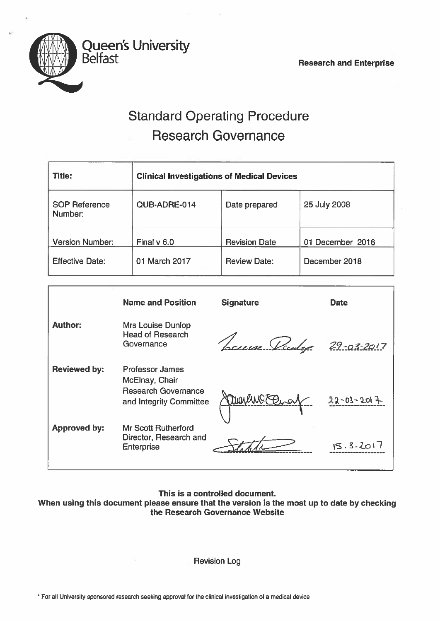

# Standard Operating Procedure Research Governance

| <b>Title:</b>                                    | <b>Clinical Investigations of Medical Devices</b> |                                             |                                   |
|--------------------------------------------------|---------------------------------------------------|---------------------------------------------|-----------------------------------|
| <b>SOP Reference</b><br>Number:                  | QUB-ADRE-014                                      | Date prepared                               | 25 July 2008                      |
| <b>Version Number:</b><br><b>Effective Date:</b> | Final $v$ 6.0<br>01 March 2017                    | <b>Revision Date</b><br><b>Review Date:</b> | 01 December 2016<br>December 2018 |

|                     | <b>Name and Position</b>                                                                          | <b>Signature</b> | Date              |
|---------------------|---------------------------------------------------------------------------------------------------|------------------|-------------------|
| <b>Author:</b>      | <b>Mrs Louise Dunlop</b><br><b>Head of Research</b><br>Governance                                 | Laure Dudge      | $29 - 03 - 2017$  |
| <b>Reviewed by:</b> | <b>Professor James</b><br>McElnay, Chair<br><b>Research Governance</b><br>and Integrity Committee | Complime Enot    | $22 - 03 - 201$ 7 |
| <b>Approved by:</b> | <b>Mr Scott Rutherford</b><br>Director, Research and<br><b>Enterprise</b>                         |                  | $15.3 - 20$       |

This is <sup>a</sup> controlled document.

When using this document please ensure that the version is the most up to date by checking the Research Governance Website

Revision Log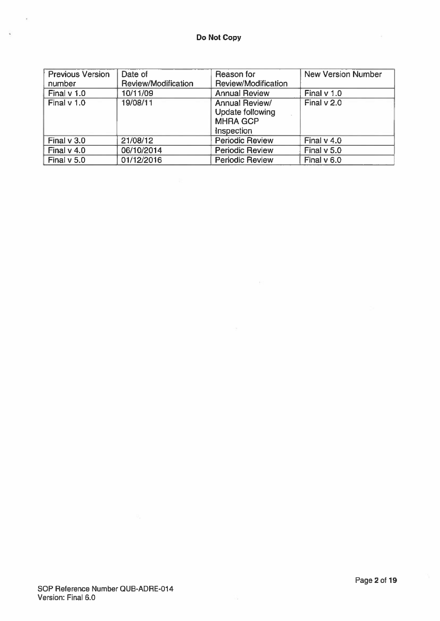| <b>Previous Version</b> | Date of             | Reason for             | <b>New Version Number</b> |
|-------------------------|---------------------|------------------------|---------------------------|
| number                  | Review/Modification | Review/Modification    |                           |
| Final $v$ 1.0           | 10/11/09            | <b>Annual Review</b>   | Final $v$ 1.0             |
| Final v 1.0             | 19/08/11            | <b>Annual Review/</b>  | Final v 2.0               |
|                         |                     | Update following       |                           |
|                         |                     | <b>MHRA GCP</b>        |                           |
|                         |                     | Inspection             |                           |
| Final $v$ 3.0           | 21/08/12            | <b>Periodic Review</b> | Final v 4.0               |
| Final $v$ 4.0           | 06/10/2014          | <b>Periodic Review</b> | Final v 5.0               |
| Final $v$ 5.0           | 01/12/2016          | <b>Periodic Review</b> | Final v 6.0               |

 $\hat{\mathbf{x}}$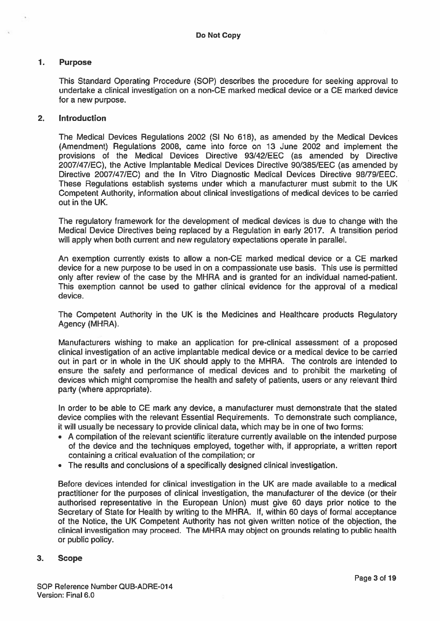## 1. Purpose

This Standard Operating Procedure (SOP) describes the procedure for seeking approval to undertake <sup>a</sup> clinical investigation on <sup>a</sup> non-CE marked medical device or <sup>a</sup> CE marked device for <sup>a</sup> new purpose.

## 2. Introduction

The Medical Devices Regulations 2002 (SI No 618), as amended by the Medical Devices (Amendment) Regulations 2008, came into force on 13 June 2002 and implement the provisions of the Medical Devices Directive 93/42/EEC (as amended by Directive 2007/47/EC), the Active Implantable Medical Devices Directive 90/385/EEC (as amended by Directive 2007/47/EC) and the In Vitro Diagnostic Medical Devices Directive 98/79/EEC. These Regulations establish systems under which <sup>a</sup> manufacturer must submit to the UK Competent Authority, information about clinical investigations of medical devices to be carried out in the UK.

The regulatory framework for the development of medical devices is due to change with the Medical Device Directives being replaced by <sup>a</sup> Regulation in early 2017. A transition period will apply when both current and new regulatory expectations operate in parallel.

An exemption currently exists to allow <sup>a</sup> non-CE marked medical device or <sup>a</sup> CE marked device for <sup>a</sup> new purpose to be used in on <sup>a</sup> compassionate use basis. This use is permitted only after review of the case by the MHRA and is granted for an individual named-patient. This exemption cannot be used to gather clinical evidence for the approval of <sup>a</sup> medical device.

The Competent Authority in the UK is the Medicines and Healthcare products Regulatory Agency (MHRA).

Manufacturers wishing to make an application for pre-clinical assessment of <sup>a</sup> proposed clinical investigation of an active implantable medical device or <sup>a</sup> medical device to be carried out in par<sup>t</sup> or in whole in the UK should apply to the MHRA. The controls are intended to ensure the safety and performance of medical devices and to prohibit the marketing of devices which might compromise the health and safety of patients, users or any relevant third party (where appropriate).

In order to be able to CE mark any device, <sup>a</sup> manufacturer must demonstrate that the stated device complies with the relevant Essential Requirements. To demonstrate such compliance, it will usually be necessary to provide clinical data, which may be in one of two forms:

- A compilation of the relevant scientific literature currently available on the intended purpose of the device and the techniques employed, together with, if appropriate, <sup>a</sup> written repor<sup>t</sup> containing <sup>a</sup> critical evaluation of the compilation; or
- The results and conclusions of <sup>a</sup> specifically designed clinical investigation.

Before devices intended for clinical investigation in the UK are made available to <sup>a</sup> medical practitioner for the purposes of clinical investigation, the manufacturer of the device (or their authorised representative in the European Union) must give 60 days prior notice to the Secretary of State for Health by writing to the MHRA. If, within 60 days of formal acceptance of the Notice, the UK Competent Authority has not given written notice of the objection, the clinical investigation may proceed. The MHRA may object on grounds relating to public health or public policy.

### 3. Scope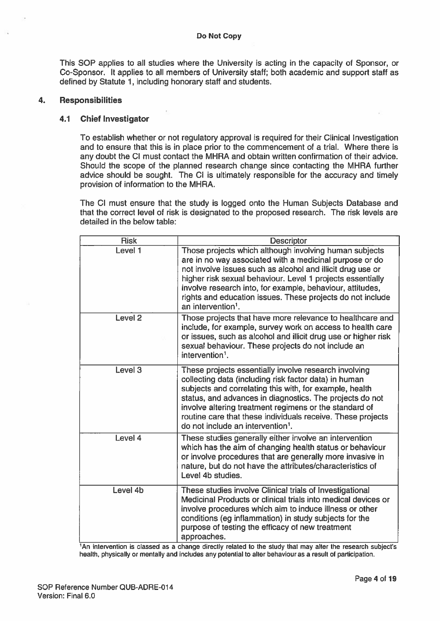This SOP applies to all studies where the University is acting in the capacity of Sponsor, or Co-Sponsor. It applies to all members of University staff; both academic and suppor<sup>t</sup> staff as defined by Statute 1, including honorary staff and students.

#### 4. Responsibilities

#### 4.1 Chief Investigator

To establish whether or not regulatory approval is required for their Clinical Investigation and to ensure that this is in place prior to the commencement of <sup>a</sup> trial. Where there is any doubt the Cl must contact the MHRA and obtain written confirmation of their advice. Should the scope of the planned research change since contacting the MHRA further advice should be sought. The Cl is ultimately responsible for the accuracy and timely provision of information to the MHRA.

The Cl must ensure that the study is logged onto the Human Subjects Database and that the correct level of risk is designated to the proposed research. The risk levels are detailed in the below table:

| <b>Risk</b>        | <b>Descriptor</b>                                                                                                                                                                                                                                                                                                                                                                                               |
|--------------------|-----------------------------------------------------------------------------------------------------------------------------------------------------------------------------------------------------------------------------------------------------------------------------------------------------------------------------------------------------------------------------------------------------------------|
| Level 1            | Those projects which although involving human subjects<br>are in no way associated with a medicinal purpose or do<br>not involve issues such as alcohol and illicit drug use or<br>higher risk sexual behaviour. Level 1 projects essentially<br>involve research into, for example, behaviour, attitudes,<br>rights and education issues. These projects do not include<br>an intervention <sup>1</sup> .      |
| Level <sub>2</sub> | Those projects that have more relevance to healthcare and<br>include, for example, survey work on access to health care<br>or issues, such as alcohol and illicit drug use or higher risk<br>sexual behaviour. These projects do not include an<br>intervention <sup>1</sup> .                                                                                                                                  |
| Level 3            | These projects essentially involve research involving<br>collecting data (including risk factor data) in human<br>subjects and correlating this with, for example, health<br>status, and advances in diagnostics. The projects do not<br>involve altering treatment regimens or the standard of<br>routine care that these individuals receive. These projects<br>do not include an intervention <sup>1</sup> . |
| Level 4            | These studies generally either involve an intervention<br>which has the aim of changing health status or behaviour<br>or involve procedures that are generally more invasive in<br>nature, but do not have the attributes/characteristics of<br>Level 4b studies.                                                                                                                                               |
| Level 4b           | These studies involve Clinical trials of Investigational<br>Medicinal Products or clinical trials into medical devices or<br>involve procedures which aim to induce illness or other<br>conditions (eg inflammation) in study subjects for the<br>purpose of testing the efficacy of new treatment<br>approaches.                                                                                               |

<sup>1</sup>An intervention is classed as a change directly related to the study that may alter the research subject's health, physically or mentally and includes any potential to alter behaviour as <sup>a</sup> result of participation.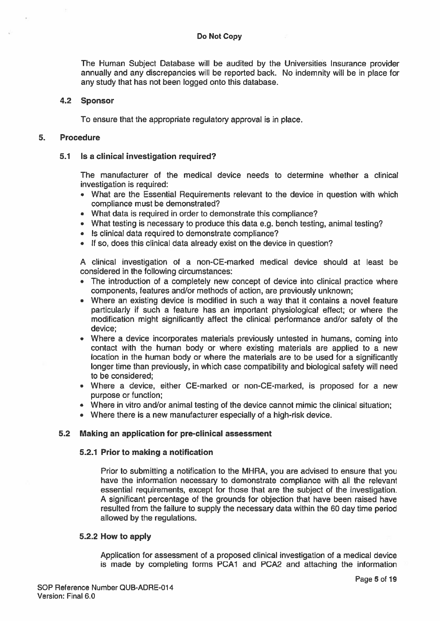The Human Subject Database will be audited by the Universities Insurance provider annually and any discrepancies will be reported back. No indemnity will be in place for any study that has not been logged onto this database.

#### 4.2 Sponsor

To ensure that the appropriate regulatory approval is in place.

#### 5. Procedure

#### 5.1 Is <sup>a</sup> clinical investigation required?

The manufacturer of the medical device needs to determine whether <sup>a</sup> clinical investigation is required:

- What are the Essential Requirements relevant to the device in question with which compliance must be demonstrated?
- What data is required in order to demonstrate this compliance?
- What testing is necessary to produce this data e.g. bench testing, animal testing?
- Is clinical data required to demonstrate compliance?
- If so, does this clinical data already exist on the device in question?

A clinical investigation of <sup>a</sup> non-CE-marked medical device should at least be considered in the following circumstances:

- The introduction of <sup>a</sup> completely new concep<sup>t</sup> of device into clinical practice where components, features and/or methods of action, are previously unknown;
- Where an existing device is modified in such <sup>a</sup> way that it contains <sup>a</sup> novel feature particularly if such <sup>a</sup> feature has an important physiological effect; or where the modification might significantly affect the clinical performance and/or safety of the device;
- Where <sup>a</sup> device incorporates materials previously untested in humans, coming into contact with the human body or where existing materials are applied to <sup>a</sup> new location in the human body or where the materials are to be used for <sup>a</sup> significantly longer time than previously, in which case compatibility and biological safety will need to be considered;
- Where <sup>a</sup> device, either CE-marked or non-CE-marked, is proposed for <sup>a</sup> new purpose or function;
- Where in vitro and/or animal testing of the device cannot mimic the clinical situation;
- Where there is <sup>a</sup> new manufacturer especially of <sup>a</sup> high-risk device.

#### 5.2 Making an application for pre-clinical assessment

#### 5.2.1 Prior to making <sup>a</sup> notification

Prior to submitting <sup>a</sup> notification to the MHRA, you are advised to ensure that you have the information necessary to demonstrate compliance with all the relevant essential requirements, excep<sup>t</sup> for those that are the subject of the investigation. A significant percentage of the grounds for objection that have been raised have resulted from the failure to supply the necessary data within the 60 day time period allowed by the regulations.

#### 5.2.2 How to apply

Application for assessment of <sup>a</sup> proposed clinical investigation of <sup>a</sup> medical device is made by completing forms PCA1 and PCA2 and attaching the information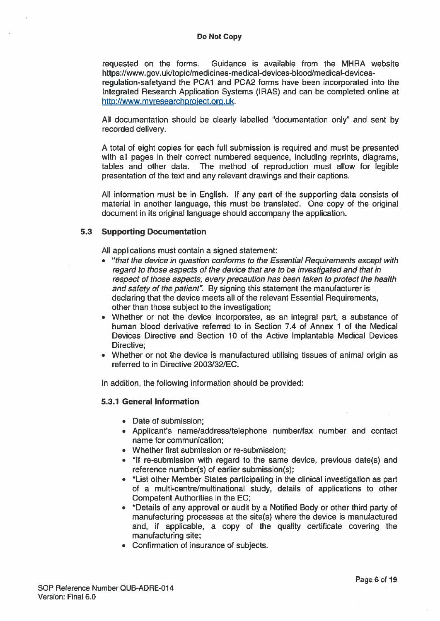requested on the forms. Guidance is available from the MHRA website https://www.gov.uk/topic/medicines-medical-devices-blood/medical-devices

regulation-safetyand the PCA1 and PCA2 forms have been incorporated into the Integrated Research Application Systems (IHAS) and can be completed online at http://www.myresearchproject.org.uk.

All documentation should be clearly labelled "documentation only" and sent by recorded delivery.

A total of eight copies for each full submission is required and must be presented with all pages in their correct numbered sequence, including reprints, diagrams, tables and other data. The method of reproduction must allow for legible presentation of the text and any relevant drawings and their captions.

All information must be in English. If any par<sup>t</sup> of the supporting data consists of material in another language, this must be translated. One copy of the original document in its original language should accompany the application.

## 5.3 Supporting Documentation

All applications must contain <sup>a</sup> signed statement:

- "that the device in question conforms to the Essential Requirements excep<sup>t</sup> with regard to those aspects of the device that are to be investigated and that in respec<sup>t</sup> of those aspects, every precaution has been taken to protect the health and safety of the patient". By signing this statement the manufacturer is declaring that the device meets all of the relevant Essential Requirements, other than those subject to the investigation;
- Whether or not the device incorporates, as an integral part, <sup>a</sup> substance of human blood derivative referred to in Section 7.4 of Annex 1 of the Medical Devices Directive and Section 10 of the Active Implantable Medical Devices Directive;
- Whether or not the device is manufactured utilising tissues of animal origin as referred to in Directive 2003/32/EC.

In addition, the following information should be provided:

## 5.3.1 General Information

- Date of submission;
- Applicant's name/address/telephone number/fax number and contact name for communication;
- Whether first submission or re-submission;
- \*lf re-submission with regar<sup>d</sup> to the same device, previous date(s) and reference number(s) of earlier submission(s);
- \*List other Member States participating in the clinical investigation as par<sup>t</sup> of <sup>a</sup> multi-centre/multinational study, details of applications to other Competent Authorities in the EC;
- \*Details of any approva<sup>l</sup> or audit by <sup>a</sup> Notified Body or other third party of manufacturing processes at the site(s) where the device is manufactured and, if applicable, <sup>a</sup> copy of the quality certificate covering the manufacturing site;
- Confirmation of insurance of subjects.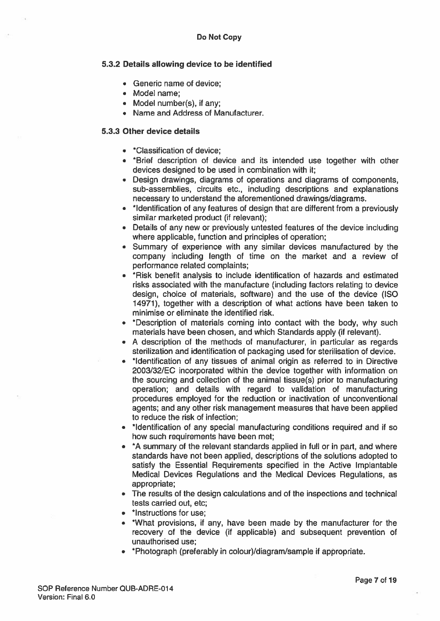## 5.3.2 Details allowing device to be identified

- Generic name of device;
- Model name;
- Model number(s), if any;
- Name and Address of Manufacturer.

## 5.3.3 Other device details

- \*Classification of device;
- \*Brief description of device and its intended use together with other devices designed to be used in combination with it;
- Design drawings, diagrams of operations and diagrams of components, sub-assemblies, circuits etc., including descriptions and explanations necessary to understand the aforementioned drawings/diagrams.
- \*ldentification of any features of design that are different from <sup>a</sup> previously similar marketed product (if relevant);
- Details of any new or previously untested features of the device including where applicable, function and principles of operation;
- Summary of experience with any similar devices manufactured by the company including length of time on the market and <sup>a</sup> review of performance related complaints;
- \*Risk benefit analysis to include identification of hazards and estimated risks associated with the manufacture (including factors relating to device design, choice of materials, software) and the use of the device (ISO 14971), together with <sup>a</sup> description of what actions have been taken to minimise or eliminate the identified risk.
- \*Description of materials coming into contact with the body, why such materials have been chosen, and which Standards apply (if relevant).
- A description of the methods of manufacturer, in particular as regards sterilization and identification of packaging used for sterilisation of device.
- \*ldentification of any tissues of animal origin as referred to in Directive 2003/32/EC incorporated within the device together with information on the sourcing and collection of the animal tissue(s) prior to manufacturing operation; and details with regard to validation of manufacturing procedures employed for the reduction or inactivation of unconventional agents; and any other risk managemen<sup>t</sup> measures that have been applied to reduce the risk of infection;
- \*ldentification of any special manufacturing conditions required and if so how such requirements have been met;
- \*A summary of the relevant standards applied in full or in part, and where standards have not been applied, descriptions of the solutions adopted to satisfy the Essential Requirements specified in the Active Implantable Medical Devices Regulations and the Medical Devices Regulations, as appropriate;
- The results of the design calculations and of the inspections and technical tests carried out, etc;
- \*Instructions for use;
- \*What provisions, if any, have been made by the manufacturer for the recovery of the device (if applicable) and subsequent prevention of unauthorised use;
- \*Photograph (preferably in colour)/diagram/sample if appropriate.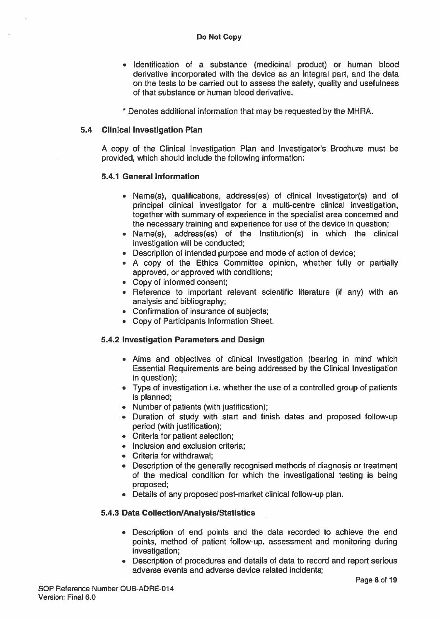- Identification of <sup>a</sup> substance (medicinal product) or human blood derivative incorporated with the device as an integral part, and the data on the tests to be carried out to assess the safety, quality and usefulness of that substance or human blood derivative.
- \* Denotes additional information that may be requested by the MHRA.

## 5.4 Clinical Investigation Plan

A copy of the Clinical Investigation Plan and Investigator's Brochure must be provided, which should include the following information:

## 5.4.1 General Information

- Name(s), qualifications, address(es) of clinical investigator(s) and of principal clinical investigator for <sup>a</sup> multi-centre clinical investigation, together with summary of experience in the specialist area concerned and the necessary training and experience for use of the device in question;
- Name(s), address(es) of the Institution(s) in which the clinical investigation will be conducted;
- Description of intended purpose and mode of action of device;
- A copy of the Ethics Committee opinion, whether fully or partially approved, or approved with conditions;
- Copy of informed consent;
- Reference to important relevant scientific literature (if any) with an analysis and bibliography;
- Confirmation of insurance of subjects;
- Copy of Participants Information Sheet.

### 5.4.2 Investigation Parameters and Design

- Aims and objectives of clinical investigation (bearing in mind which Essential Requirements are being addressed by the Clinical Investigation in question);
- Type of investigation i.e. whether the use of <sup>a</sup> controlled group of patients is planned;
- Number of patients (with justification);
- Duration of study with start and finish dates and proposed follow-up period (with justification);
- Criteria for patient selection;
- Inclusion and exclusion criteria;
- Criteria for withdrawal;
- Description of the generally recognised methods of diagnosis or treatment of the medical condition for which the investigational testing is being proposed;
- Details of any proposed post-market clinical follow-up plan.

### 5.4.3 Data Collection/Analysis/Statistics

- Description of end points and the data recorded to achieve the end points, method of patient follow-up, assessment and monitoring during investigation;
- Description of procedures and details of data to record and repor<sup>t</sup> serious adverse events and adverse device related incidents;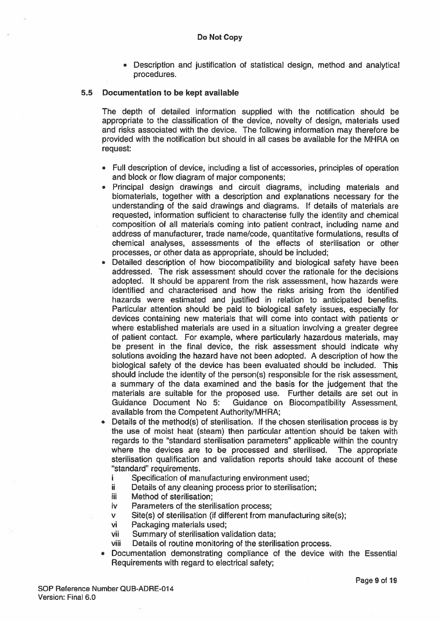• Description and justification of statistical design, method and analytical procedures.

## 5.5 Documentation to be kept available

The depth of detailed information supplied with the notification should be appropriate to the classification of the device, novelty of design, materials used and risks associated with the device. The following information may therefore be provided with the notification but should in all cases be available for the MHRA on request:

- Full description of device, including <sup>a</sup> list of accessories, principles of operation and block or flow diagram of major components;
- Principal design drawings and circuit diagrams, including materials and biomaterials, together with <sup>a</sup> description and explanations necessary for the understanding of the said drawings and diagrams. If details of materials are requested, information sufficient to characterise fully the identity and chemical composition of all materials coming into patient contract, including name and address of manufacturer, trade name/code, quantitative formulations, results of chemical analyses, assessments of the effects of sterilisation or other processes, or other data as appropriate, should be included;
- Detailed description of how biocompatibility and biological safety have been addressed. The risk assessment should cover the rationale for the decisions adopted. It should be apparen<sup>t</sup> from the risk assessment, how hazards were identified and characterised and how the risks arising from the identified hazards were estimated and justified in relation to anticipated benefits. Particular attention should be paid to biological safety issues, especially for devices containing new materials that will come into contact with patients or where established materials are used in <sup>a</sup> situation involving <sup>a</sup> greater degree of patient contact. For example, where particularly hazardous materials, may be presen<sup>t</sup> in the final device, the risk assessment should indicate why solutions avoiding the hazard have not been adopted. A description of how the biological safety of the device has been evaluated should be included. This should include the identity of the person(s) responsible for the risk assessment, <sup>a</sup> summary of the data examined and the basis for the judgement that the materials are suitable for the proposed use. Further details are set out in Guidance Document No 5: Guidance on Biocompatibility Assessment, available from the Competent Authority/MHRA;
- Details of the method(s) of sterilisation. If the chosen sterilisation process is by the use of moist heat (steam) then particular attention should be taken with regards to the "standard sterilisation parameters" applicable within the country where the devices are to be processed and sterilised. The appropriate sterilisation qualification and validation reports should take account of these "standard" requirements.
	- i Specification of manufacturing environment used;
	- <sup>ü</sup> Details of any cleaning process prior to sterilisation;
	- iii Method of sterilisation;
	- iv Parameters of the sterilisation process;
	- <sup>v</sup> Site(s) of sterilisation (if different from manufacturing site(s);
	- vi Packaging materials used;
	- vii Summary of sterilisation validation data;
	- viii Details of routine monitoring of the sterilisation process.
- • Documentation demonstrating compliance of the device with the Essential Requirements with regard to electrical safety;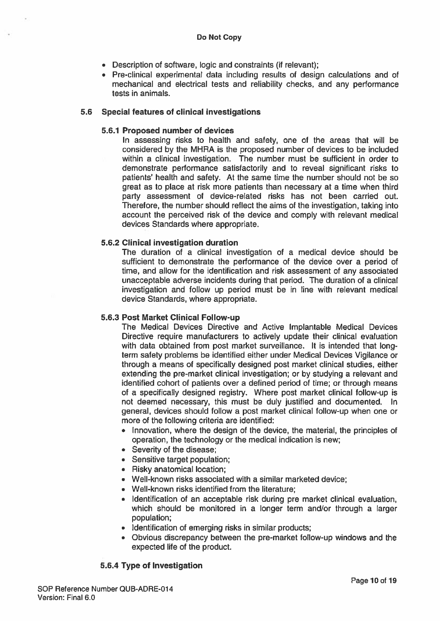- Description of software, logic and constraints (if relevant);
- Pre-clinical experimental data including results of design calculations and of mechanical and electrical tests and reliability checks, and any performance tests in animals.

## 5.6 Special features of clinical investigations

## 5.6.1 Proposed number of devices

In assessing risks to health and safety, one of the areas that will be considered by the MHRA is the proposed number of devices to be included within <sup>a</sup> clinical investigation. The number must be sufficient in order to demonstrate performance satisfactorily and to reveal significant risks to patients' health and safety. At the same time the number should not be so grea<sup>t</sup> as to place at risk more patients than necessary at <sup>a</sup> time when third party assessment of device-related risks has not been carried out. Therefore, the number should reflect the aims of the investigation, taking into account the perceived risk of the device and comply with relevant medical devices Standards where appropriate.

## 5.6.2 Clinical investigation duration

The duration of <sup>a</sup> clinical investigation of <sup>a</sup> medical device should be sufficient to demonstrate the performance of the device over <sup>a</sup> period of time, and allow for the identification and risk assessment of any associated unacceptable adverse incidents during that period. The duration of <sup>a</sup> clinical investigation and follow up period must be in line with relevant medical device Standards, where appropriate.

## 5.6.3 Post Market Clinical Follow-up

The Medical Devices Directive and Active Implantable Medical Devices Directive require manufacturers to actively update their clinical evaluation with data obtained from pos<sup>t</sup> market surveillance. It is intended that longterm safety problems be identified either under Medical Devices Vigilance or through <sup>a</sup> means of specifically designed pos<sup>t</sup> market clinical studies, either extending the pre-market clinical investigation; or by studying <sup>a</sup> relevant and identified cohort of patients over <sup>a</sup> defined period of time; or through means of <sup>a</sup> specifically designed registry. Where pos<sup>t</sup> market clinical follow-up is not deemed necessary, this must be duly justified and documented. In general, devices should follow <sup>a</sup> pos<sup>t</sup> market clinical follow-up when one or more of the following criteria are identified:

- Innovation, where the design of the device, the material, the principles of operation, the technology or the medical indication is new;
- Severity of the disease;
- Sensitive target population;
- Risky anatomical location;
- Well-known risks associated with <sup>a</sup> similar marketed device;
- Well-known risks identified from the literature;
- Identification of an acceptable risk during pre market clinical evaluation, which should be monitored in <sup>a</sup> longer term and/or through <sup>a</sup> larger population;
- Identification of emerging risks in similar products;
- Obvious discrepancy between the pre-market follow-up windows and the expected life of the product.

## 5.6.4 Type of Investigation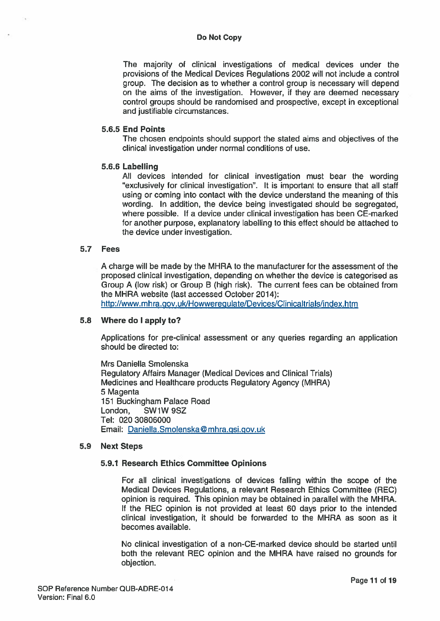The majority of clinical investigations of medical devices under the provisions of the Medical Devices Regulations 2002 will not include <sup>a</sup> control group. The decision as to whether <sup>a</sup> control group is necessary will depend on the aims of the investigation. However, if they are deemed necessary control groups should be randomised and prospective, except in exceptional and justifiable circumstances.

## 5.6.5 End Points

The chosen endpoints should suppor<sup>t</sup> the stated aims and objectives of the clinical investigation under normal conditions of use.

## 5.6.6 Labelling

All devices intended for clinical investigation must bear the wording "exclusively for clinical investigation". It is important to ensure that all staff using or coming into contact with the device understand the meaning of this wording. In addition, the device being investigated should be segregated, where possible. If <sup>a</sup> device under clinical investigation has been CE-marked for another purpose, explanatory labelling to this effect should be attached to the device under investigation.

## 5.7 Fees

A charge will be made by the MHRA to the manufacturer for the assessment of the proposed clinical investigation, depending on whether the device is categorised as Group A (low risk) or Group B (high risk). The current fees can be obtained from the MHRA website (last accessed October 2014):

http://www.mhra.gov.uk/Howweregulate/Devices/Clinicaltrials/index.htm

## 5.8 Where do I apply to?

Applications for pre-clinical assessment or any queries regarding an application should be directed to:

Mrs Daniella Smolenska Regulatory Affairs Manager (Medical Devices and Clinical Trials) Medicines and Healthcare products Regulatory Agency (MHRA) 5 Magenta 151 Buckingham Palace Road London, SW1W 9SZ Tel: 020 30806000 Email: Daniella.Smolenska@mhra.gsi.gov.uk

### 5.9 Next Steps

### 5.9.1 Research Ethics Committee Opinions

For all clinical investigations of devices falling within the scope of the Medical Devices Regulations, <sup>a</sup> relevant Research Ethics Committee (REC) opinion is required. This opinion may be obtained in parallel with the MHRA. If the REC opinion is not provided at least 60 days prior to the intended clinical investigation, it should be forwarded to the MHRA as soon as it becomes available.

No clinical investigation of <sup>a</sup> non-CE-marked device should be started until both the relevant REC opinion and the MHRA have raised no grounds for objection.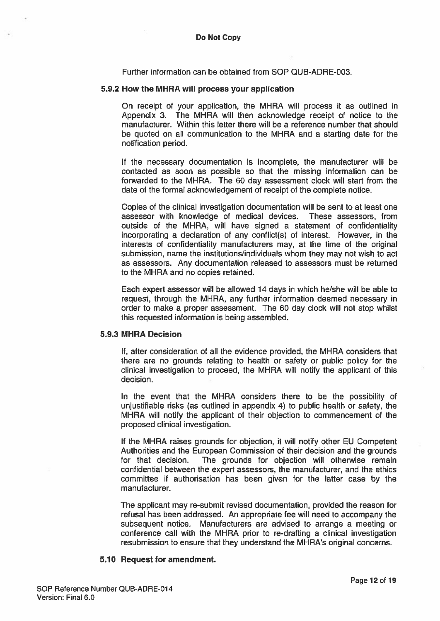Further information can be obtained from SOP QUB-ADRE-003.

#### 5.9.2 How the MHRA will process your application

On receipt of your application, the MHRA will process it as outlined in Appendix 3. The MHRA will then acknowledge receipt of notice to the manufacturer. Within this letter there will be <sup>a</sup> reference number that should be quoted on all communication to the MHRA and <sup>a</sup> starting date for the notification period.

If the necessary documentation is incomplete, the manufacturer will be contacted as soon as possible so that the missing information can be forwarded to the MHRA. The 60 day assessment clock will start from the date of the formal acknowledgement of receipt of the complete notice.

Copies of the clinical investigation documentation will be sent to at least one assessor with knowledge of medical devices. These assessors, from outside of the MHRA, will have signed <sup>a</sup> statement of confidentiality incorporating <sup>a</sup> declaration of any conflict(s) of interest. However, in the interests of confidentiality manufacturers may, at the time of the original submission, name the institutions/individuals whom they may not wish to act as assessors. Any documentation released to assessors must be returned to the MHRA and no copies retained.

Each exper<sup>t</sup> assessor will be allowed 14 days in which he/she will be able to request, through the MHRA, any further information deemed necessary in order to make <sup>a</sup> proper assessment. The 60 day clock will not stop whilst this requested information is being assembled.

#### 5.9.3 MHRA Decision

If, after consideration of all the evidence provided, the MHRA considers that there are no grounds relating to health or safety or public policy for the clinical investigation to proceed, the MHRA will notify the applicant of this decision.

In the event that the MHRA considers there to be the possibility of unjustifiable risks (as outlined in appendix 4) to public health or safety, the MHRA will notify the applicant of their objection to commencement of the proposed clinical investigation.

If the MHRA raises grounds for objection, it will notify other EU Competent Authorities and the European Commission of their decision and the grounds for that decision. The grounds for objection will otherwise remain confidential between the exper<sup>t</sup> assessors, the manufacturer, and the ethics committee if authorisation has been given for the latter case by the manufacturer.

The applicant may re-submit revised documentation, provided the reason for refusal has been addressed. An appropriate fee will need to accompany the subsequent notice. Manufacturers are advised to arrange <sup>a</sup> meeting or conference call with the MHRA prior to re-drafting <sup>a</sup> clinical investigation resubmission to ensure that they understand the MHRA's original concerns.

### 5.10 Request for amendment.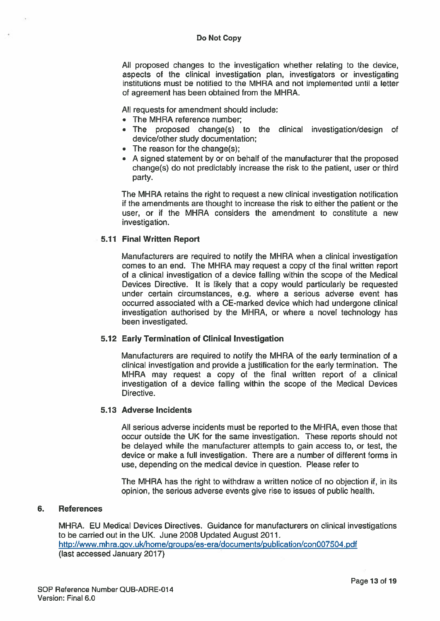All proposed changes to the investigation whether relating to the device, aspects of the clinical investigation plan, investigators or investigating institutions must be notified to the MHRA and not implemented until <sup>a</sup> letter of agreemen<sup>t</sup> has been obtained from the MHRA.

All requests for amendment should include:

- The MHRA reference number;
- The proposed change(s) to the clinical investigation/design of device/other study documentation;
- The reason for the change(s);
- A signed statement by or on behalf of the manufacturer that the proposed change(s) do not predictably increase the risk to the patient, user or third party.

The MHRA retains the right to reques<sup>t</sup> <sup>a</sup> new clinical investigation notification if the amendments are thought to increase the risk to either the patient or the user, or if the MHRA considers the amendment to constitute <sup>a</sup> new investigation.

## 5.11 Final Written Report

Manufacturers are required to notify the MHRA when <sup>a</sup> clinical investigation comes to an end. The MHRA may reques<sup>t</sup> <sup>a</sup> copy of the final written repor<sup>t</sup> of <sup>a</sup> clinical investigation of <sup>a</sup> device falling within the scope of the Medical Devices Directive. It is likely that <sup>a</sup> copy would particularly be requested under certain circumstances, e.g. where <sup>a</sup> serious adverse event has occurred associated with <sup>a</sup> CE-marked device which had undergone clinical investigation authorised by the MHRA, or where <sup>a</sup> novel technology has been investigated.

## 5.12 Early Termination of Clinical Investigation

Manufacturers are required to notify the MHRA of the early termination of <sup>a</sup> clinical investigation and provide <sup>a</sup> justification for the early termination. The MHRA may reques<sup>t</sup> <sup>a</sup> copy of the final written repor<sup>t</sup> of <sup>a</sup> clinical investigation of <sup>a</sup> device falling within the scope of the Medical Devices Directive.

## 5.13 Adverse Incidents

All serious adverse incidents must be reported to the MHHA, even those that occur outside the UK for the same investigation. These reports should not be delayed while the manufacturer attempts to gain access to, or test, the device or make <sup>a</sup> full investigation. There are <sup>a</sup> number of different forms in use, depending on the medical device in question. Please refer to

The MHRA has the right to withdraw <sup>a</sup> written notice of no objection if, in its opinion, the serious adverse events give rise to issues of public health.

### 6. References

MHRA. EU Medical Devices Directives. Guidance for manufacturers on clinical investigations to be carried out in the UK. June 2008 Updated August 2011. http://www.mhra.gov.uk/home/groups/es-er&documents/publication/con007504.pdf (last accessed January 2017)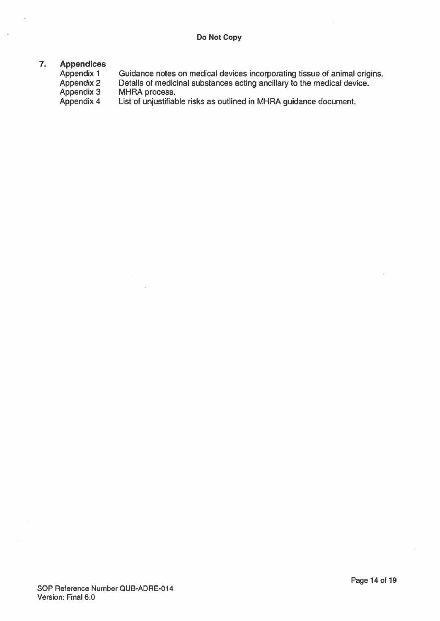à.

## 7. Appendices

 $\lambda$ 

| Appendix 1 | Guidance notes on medical devices incorporating tissue of animal origins. |
|------------|---------------------------------------------------------------------------|
| Appendix 2 | Details of medicinal substances acting ancillary to the medical device.   |
| Appendix 3 | MHRA process.                                                             |
| Appendix 4 | List of unjustifiable risks as outlined in MHRA quidance document.        |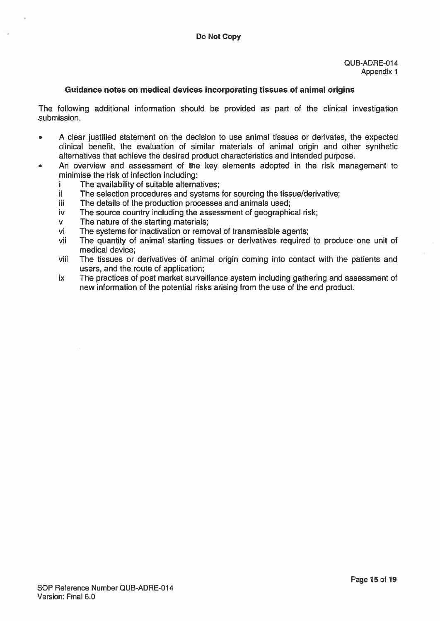## Guidance notes on medical devices incorporating tissues of animal origins

The following additional information should be provided as par<sup>t</sup> of the clinical investigation submission.

- • A clear justified statement on the decision to use animal tissues or derivates, the expected clinical benefit, the evaluation of similar materials of animal origin and other synthetic alternatives that achieve the desired product characteristics and intended purpose.
- • An overview and assessment of the key elements adopted in the risk managemen<sup>t</sup> to minimise the risk of infection including:
	- The availability of suitable alternatives; î.
	- ii The selection procedures and systems for sourcing the tissue/derivative;
	- $iii$  The details of the production processes and animals used;
	- iv The source country including the assessment of geographical risk;
	- <sup>v</sup> The nature of the starting materials;
	- vi The systems for inactivation or removal of transmissible agents;
	- vii The quantity of animal starting tissues or derivatives required to produce one unit of medical device;
	- viii The tissues or derivatives of animal origin coming into contact with the patients and users, and the route of application;
	- ix The practices of pos<sup>t</sup> market surveillance system including gathering and assessment of new information of the potential risks arising from the use of the end product.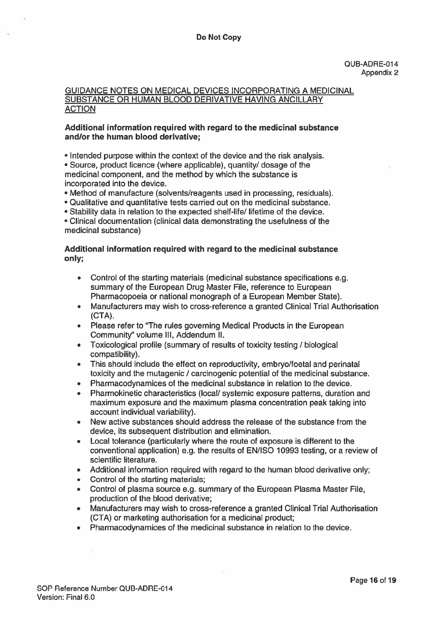#### GUIDANCE NOTES ON MEDICAL DEVICES INCORPORATING A MEDICINAL SUBSTANCE OR HUMAN BLOOD DERIVATIVE HAVING ANCILLARY **ACTION**

## Additional information required with regard to the medicinal substance and/or the human blood derivative;

• Intended purpose within the context of the device and the risk analysis.

• Source, product licence (where applicable), quantity/ dosage of the medicinal component, and the method by which the substance is incorporated into the device.

• Method of manufacture (solvents/reagents used in processing, residuals).

• Qualitative and quantitative tests carried out on the medicinal substance.

• Stability data in relation to the expected shelf-life/ lifetime of the device.

• Clinical documentation (clinical data demonstrating the usefulness of the medicinal substance)

## Additional information required with regard to the medicinal substance only;

- Control of the starting materials (medicinal substance specifications e.g. summary of the European Drug Master File, reference to European Pharmacopoeia or national monograph of <sup>a</sup> European Member State).
- • Manufacturers may wish to cross-reference <sup>a</sup> granted Clinical Trial Authorisation (CTA).
- Please refer to "The rules governing Medical Products in the European Community" volume Ill, Addendum II.
- Toxicological profile (summary of results of toxicity testing / biological compatibility).
- This should include the effect on reproductivity, embryo/foetal and perinatal toxicity and the mutagenic / carcinogenic potential of the medicinal substance.
- Pharmacodynamices of the medicinal substance in relation to the device.
- Pharmokinetic characteristics (local/ systemic exposure patterns, duration and maximum exposure and the maximum plasma concentration peak taking into account individual variability).
- • New active substances should address the release of the substance from the device, its subsequent distribution and elimination.
- • Local tolerance (particularly where the route of exposure is different to the conventional application) e.g. the results of EN/ISO 10993 testing, or a review of scientific literature.
- Additional information required with regard to the human blood derivative only;
- Control of the starting materials;
- Control of plasma source e.g. summary of the European Plasma Master File, production of the blood derivative;
- Manufacturers may wish to cross-reference <sup>a</sup> granted Clinical Trial Authorisation (CTA) or marketing authorisation for <sup>a</sup> medicinal product;
- Pharmacodynamices of the medicinal substance in relation to the device.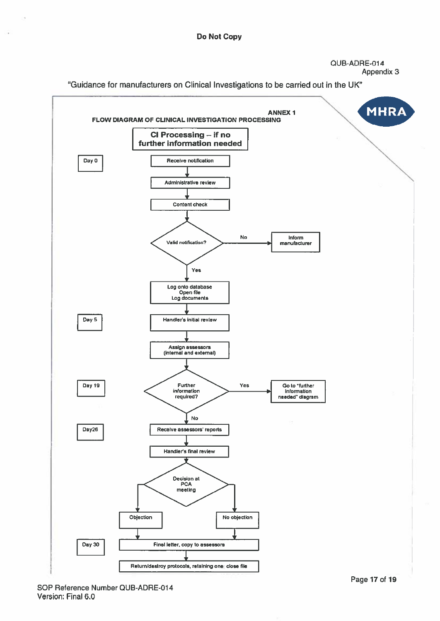QUB-ADRE-Ol 4 Appendix S





×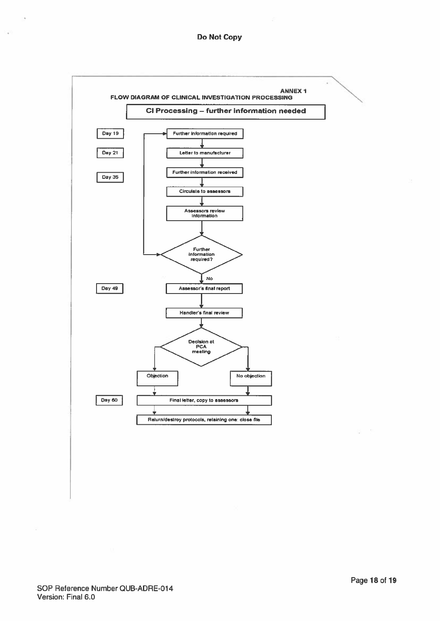Do Not Copy



n.